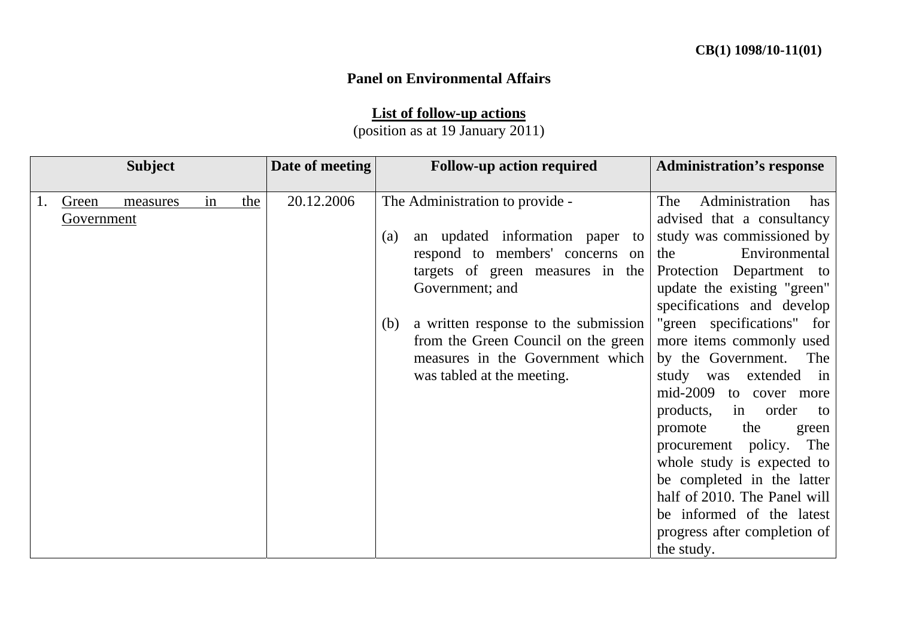## **Panel on Environmental Affairs**

**List of follow-up actions**

(position as at 19 January 2011)

|            | <b>Subject</b> |    |     | Date of meeting | <b>Follow-up action required</b>            | <b>Administration's response</b> |
|------------|----------------|----|-----|-----------------|---------------------------------------------|----------------------------------|
|            |                |    |     |                 |                                             |                                  |
| Green      | measures       | in | the | 20.12.2006      | The Administration to provide -             | Administration<br>The<br>has     |
| Government |                |    |     |                 |                                             | advised that a consultancy       |
|            |                |    |     |                 | an updated information paper to<br>(a)      | study was commissioned by        |
|            |                |    |     |                 | respond to members' concerns on             | Environmental<br>the             |
|            |                |    |     |                 | targets of green measures in the            | Protection Department to         |
|            |                |    |     |                 | Government; and                             | update the existing "green"      |
|            |                |    |     |                 |                                             | specifications and develop       |
|            |                |    |     |                 | a written response to the submission<br>(b) | "green specifications" for       |
|            |                |    |     |                 | from the Green Council on the green         | more items commonly used         |
|            |                |    |     |                 | measures in the Government which            | by the Government.<br>The        |
|            |                |    |     |                 | was tabled at the meeting.                  | study was<br>extended in         |
|            |                |    |     |                 |                                             | mid-2009<br>to cover more        |
|            |                |    |     |                 |                                             | products,<br>in order<br>to      |
|            |                |    |     |                 |                                             | the<br>promote<br>green          |
|            |                |    |     |                 |                                             | procurement policy. The          |
|            |                |    |     |                 |                                             | whole study is expected to       |
|            |                |    |     |                 |                                             | be completed in the latter       |
|            |                |    |     |                 |                                             | half of 2010. The Panel will     |
|            |                |    |     |                 |                                             | be informed of the latest        |
|            |                |    |     |                 |                                             | progress after completion of     |
|            |                |    |     |                 |                                             | the study.                       |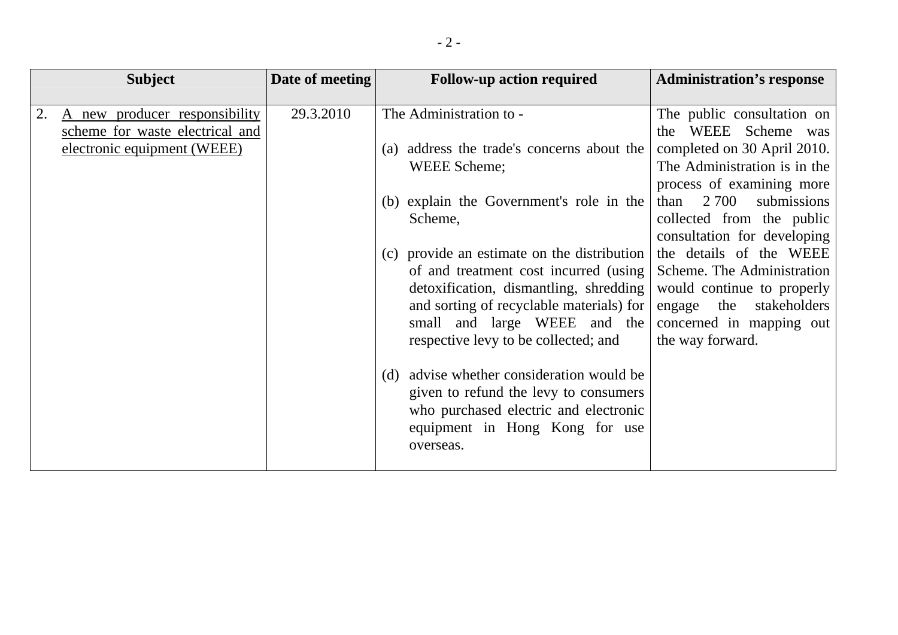|    | <b>Subject</b>                  | Date of meeting | <b>Follow-up action required</b>            | <b>Administration's response</b> |
|----|---------------------------------|-----------------|---------------------------------------------|----------------------------------|
|    |                                 |                 |                                             |                                  |
| 2. | A new producer responsibility   | 29.3.2010       | The Administration to -                     | The public consultation on       |
|    | scheme for waste electrical and |                 |                                             | WEEE Scheme was<br>the           |
|    | electronic equipment (WEEE)     |                 | (a) address the trade's concerns about the  | completed on 30 April 2010.      |
|    |                                 |                 | WEEE Scheme;                                | The Administration is in the     |
|    |                                 |                 |                                             | process of examining more        |
|    |                                 |                 | (b) explain the Government's role in the    | 2 700<br>submissions<br>than     |
|    |                                 |                 | Scheme,                                     | collected from the public        |
|    |                                 |                 |                                             | consultation for developing      |
|    |                                 |                 | (c) provide an estimate on the distribution | the details of the WEEE          |
|    |                                 |                 | of and treatment cost incurred (using       | Scheme. The Administration       |
|    |                                 |                 | detoxification, dismantling, shredding      | would continue to properly       |
|    |                                 |                 | and sorting of recyclable materials) for    | stakeholders<br>the<br>engage    |
|    |                                 |                 | small and large WEEE and the                | concerned in mapping out         |
|    |                                 |                 | respective levy to be collected; and        | the way forward.                 |
|    |                                 |                 |                                             |                                  |
|    |                                 |                 | (d) advise whether consideration would be   |                                  |
|    |                                 |                 | given to refund the levy to consumers       |                                  |
|    |                                 |                 | who purchased electric and electronic       |                                  |
|    |                                 |                 | equipment in Hong Kong for use              |                                  |
|    |                                 |                 | overseas.                                   |                                  |
|    |                                 |                 |                                             |                                  |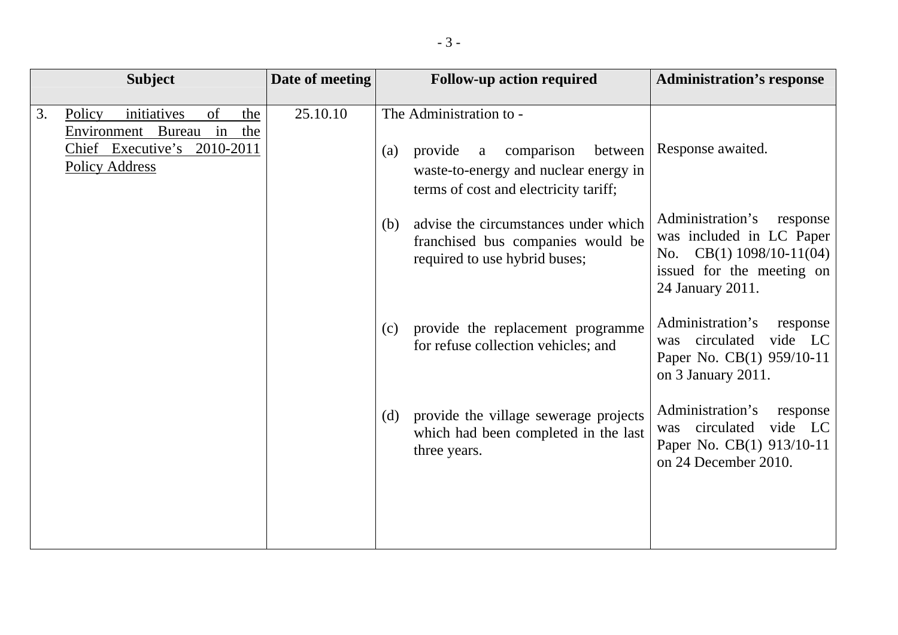|    | <b>Subject</b>                                                                                                                | Date of meeting | <b>Follow-up action required</b> |                                                                                                                                                    | <b>Administration's response</b>                                                                                                        |
|----|-------------------------------------------------------------------------------------------------------------------------------|-----------------|----------------------------------|----------------------------------------------------------------------------------------------------------------------------------------------------|-----------------------------------------------------------------------------------------------------------------------------------------|
| 3. | initiatives<br>of<br>Policy<br>the<br>in<br>Environment Bureau<br>the<br>Chief Executive's 2010-2011<br><b>Policy Address</b> | 25.10.10        | (a)                              | The Administration to -<br>comparison<br>provide<br>between<br>a<br>waste-to-energy and nuclear energy in<br>terms of cost and electricity tariff; | Response awaited.                                                                                                                       |
|    |                                                                                                                               |                 | (b)                              | advise the circumstances under which<br>franchised bus companies would be<br>required to use hybrid buses;                                         | Administration's<br>response<br>was included in LC Paper<br>No. CB(1) $1098/10-11(04)$<br>issued for the meeting on<br>24 January 2011. |
|    |                                                                                                                               |                 | (c)                              | provide the replacement programme<br>for refuse collection vehicles; and                                                                           | Administration's<br>response<br>vide LC<br>circulated<br>was<br>Paper No. CB(1) 959/10-11<br>on 3 January 2011.                         |
|    |                                                                                                                               |                 |                                  | (d) provide the village sewerage projects<br>which had been completed in the last<br>three years.                                                  | Administration's<br>response<br>vide LC<br>circulated<br>was<br>Paper No. CB(1) 913/10-11<br>on 24 December 2010.                       |
|    |                                                                                                                               |                 |                                  |                                                                                                                                                    |                                                                                                                                         |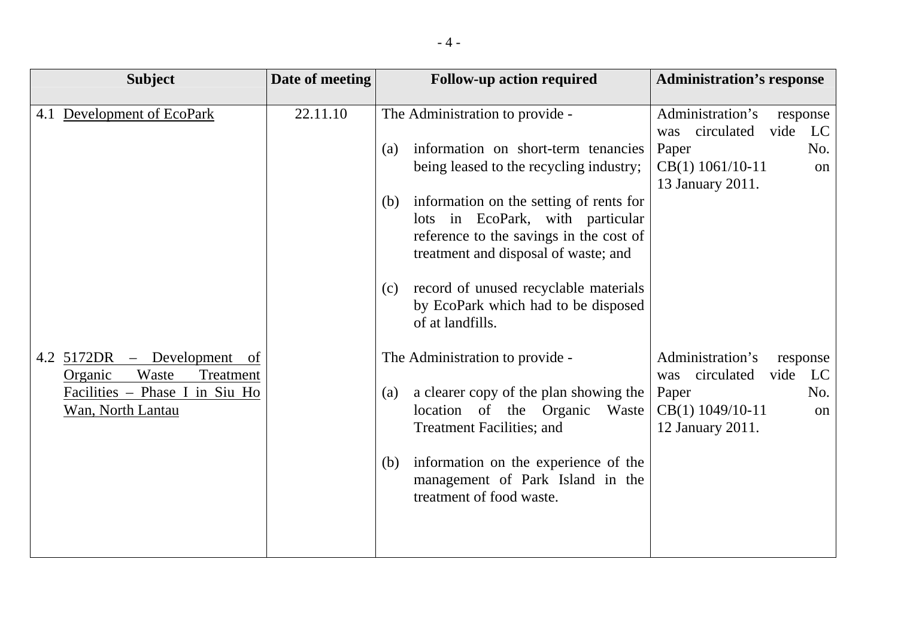| <b>Subject</b>                                               | Date of meeting | <b>Follow-up action required</b>                                                                            | <b>Administration's response</b>                                |
|--------------------------------------------------------------|-----------------|-------------------------------------------------------------------------------------------------------------|-----------------------------------------------------------------|
| 4.1 Development of EcoPark                                   | 22.11.10        | The Administration to provide -                                                                             | Administration's<br>response<br>vide<br>circulated<br>LC<br>was |
|                                                              |                 | information on short-term tenancies<br>(a)                                                                  | No.<br>Paper                                                    |
|                                                              |                 | being leased to the recycling industry;                                                                     | CB(1) 1061/10-11<br>on<br>13 January 2011.                      |
|                                                              |                 | information on the setting of rents for<br>(b)                                                              |                                                                 |
|                                                              |                 | lots in EcoPark, with particular<br>reference to the savings in the cost of                                 |                                                                 |
|                                                              |                 | treatment and disposal of waste; and                                                                        |                                                                 |
|                                                              |                 | record of unused recyclable materials<br>(c)                                                                |                                                                 |
|                                                              |                 | by EcoPark which had to be disposed<br>of at landfills.                                                     |                                                                 |
| 4.2 5172DR – Development of<br>Waste<br>Treatment<br>Organic |                 | The Administration to provide -                                                                             | Administration's<br>response<br>vide<br>LC<br>circulated<br>was |
| Facilities - Phase I in Siu Ho                               |                 | a clearer copy of the plan showing the<br>(a)                                                               | No.<br>Paper                                                    |
| Wan, North Lantau                                            |                 | location of the Organic<br>Waste<br><b>Treatment Facilities; and</b>                                        | CB(1) 1049/10-11<br>on<br>12 January 2011.                      |
|                                                              |                 | information on the experience of the<br>(b)<br>management of Park Island in the<br>treatment of food waste. |                                                                 |
|                                                              |                 |                                                                                                             |                                                                 |